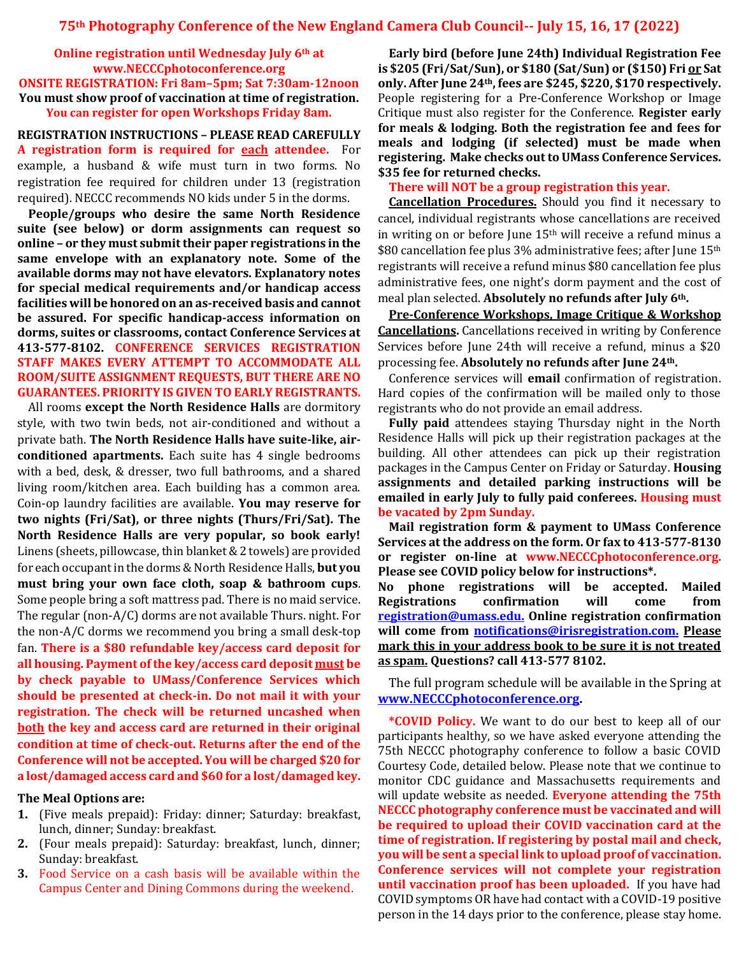**Online registration until Wednesday July 6th at www.NECCCphotoconference.org ONSITE REGISTRATION: Fri 8am–5pm; Sat 7:30am-12noon You must show proof of vaccination at time of registration. You can register for open Workshops Friday 8am.**

**REGISTRATION INSTRUCTIONS – PLEASE READ CAREFULLY A registration form is required for each attendee.** For example, a husband & wife must turn in two forms. No registration fee required for children under 13 (registration required). NECCC recommends NO kids under 5 in the dorms.

**People/groups who desire the same North Residence suite (see below) or dorm assignments can request so online – or they must submit their paper registrations in the same envelope with an explanatory note. Some of the available dorms may not have elevators. Explanatory notes for special medical requirements and/or handicap access facilities will be honored on an as-received basis and cannot be assured. For specific handicap-access information on dorms, suites or classrooms, contact Conference Services at 413-577-8102. CONFERENCE SERVICES REGISTRATION STAFF MAKES EVERY ATTEMPT TO ACCOMMODATE ALL ROOM/SUITE ASSIGNMENT REQUESTS, BUT THERE ARE NO GUARANTEES. PRIORITY IS GIVEN TO EARLY REGISTRANTS.**

All rooms **except the North Residence Halls** are dormitory style, with two twin beds, not air-conditioned and without a private bath. **The North Residence Halls have suite-like, airconditioned apartments.** Each suite has 4 single bedrooms with a bed, desk, & dresser, two full bathrooms, and a shared living room/kitchen area. Each building has a common area. Coin-op laundry facilities are available. **You may reserve for two nights (Fri/Sat), or three nights (Thurs/Fri/Sat). The North Residence Halls are very popular, so book early!**  Linens (sheets, pillowcase, thin blanket& 2 towels) are provided for each occupant in the dorms & North Residence Halls, **but you must bring your own face cloth, soap & bathroom cups**. Some people bring a soft mattress pad. There is no maid service. The regular (non-A/C) dorms are not available Thurs. night. For the non-A/C dorms we recommend you bring a small desk-top fan. **There is a \$80 refundable key/access card deposit for all housing. Payment of the key/access card deposit must be by check payable to UMass/Conference Services which should be presented at check-in. Do not mail it with your registration. The check will be returned uncashed when both the key and access card are returned in their original condition at time of check-out. Returns after the end of the Conference will not be accepted. You will be charged \$20 for a lost/damaged access card and \$60 for a lost/damaged key.**

#### **The Meal Options are:**

- **1.** (Five meals prepaid): Friday: dinner; Saturday: breakfast, lunch, dinner; Sunday: breakfast.
- **2.** (Four meals prepaid): Saturday: breakfast, lunch, dinner; Sunday: breakfast.
- **3.** Food Service on a cash basis will be available within the Campus Center and Dining Commons during the weekend.

**Early bird (before June 24th) Individual Registration Fee is \$205 (Fri/Sat/Sun), or \$180 (Sat/Sun) or (\$150) Fri or Sat only. After June 24th, fees are \$245, \$220, \$170 respectively.**  People registering for a Pre-Conference Workshop or Image Critique must also register for the Conference. **Register early for meals & lodging. Both the registration fee and fees for meals and lodging (if selected) must be made when registering. Make checks out to UMass Conference Services. \$35 fee for returned checks.** 

#### **There will NOT be a group registration this year.**

**Cancellation Procedures.** Should you find it necessary to cancel, individual registrants whose cancellations are received in writing on or before June 15th will receive a refund minus a \$80 cancellation fee plus 3% administrative fees; after June 15<sup>th</sup> registrants will receive a refund minus \$80 cancellation fee plus administrative fees, one night's dorm payment and the cost of meal plan selected. **Absolutely no refunds after July 6th.**

**Pre-Conference Workshops, Image Critique & Workshop Cancellations.** Cancellations received in writing by Conference Services before June 24th will receive a refund, minus a \$20 processing fee. **Absolutely no refunds after June 24th.**

Conference services will **email** confirmation of registration. Hard copies of the confirmation will be mailed only to those registrants who do not provide an email address.

**Fully paid** attendees staying Thursday night in the North Residence Halls will pick up their registration packages at the building. All other attendees can pick up their registration packages in the Campus Center on Friday or Saturday. **Housing assignments and detailed parking instructions will be emailed in early July to fully paid conferees. Housing must be vacated by 2pm Sunday.**

**Mail registration form & payment to UMass Conference Services at the address on the form. Or fax to 413-577-8130 or register on-line at www.NECCCphotoconference.org. Please see COVID policy below for instructions\*.** 

**No phone registrations will be accepted. Mailed Registrations confirmation will come from [registration@umass.edu.](mailto:registration@umass.edu) Online registration confirmation will come from [notifications@irisregistration.com.](mailto:notifications@irisregistration.com) Please mark this in your address book to be sure it is not treated as spam. Questions? call 413-577 8102.**

The full program schedule will be available in the Spring at **[www.NECCCphotoconference.org.](http://www.necccphotoconference.org/)**

**\*COVID Policy.** We want to do our best to keep all of our participants healthy, so we have asked everyone attending the 75th NECCC photography conference to follow a basic COVID Courtesy Code, detailed below. Please note that we continue to monitor CDC guidance and Massachusetts requirements and will update website as needed. **Everyone attending the 75th NECCC photography conference must be vaccinated and will be required to upload their COVID vaccination card at the time of registration. If registering by postal mail and check, you will be sent a special link to upload proof of vaccination. Conference services will not complete your registration until vaccination proof has been uploaded.** If you have had COVID symptoms OR have had contact with a COVID-19 positive person in the 14 days prior to the conference, please stay home.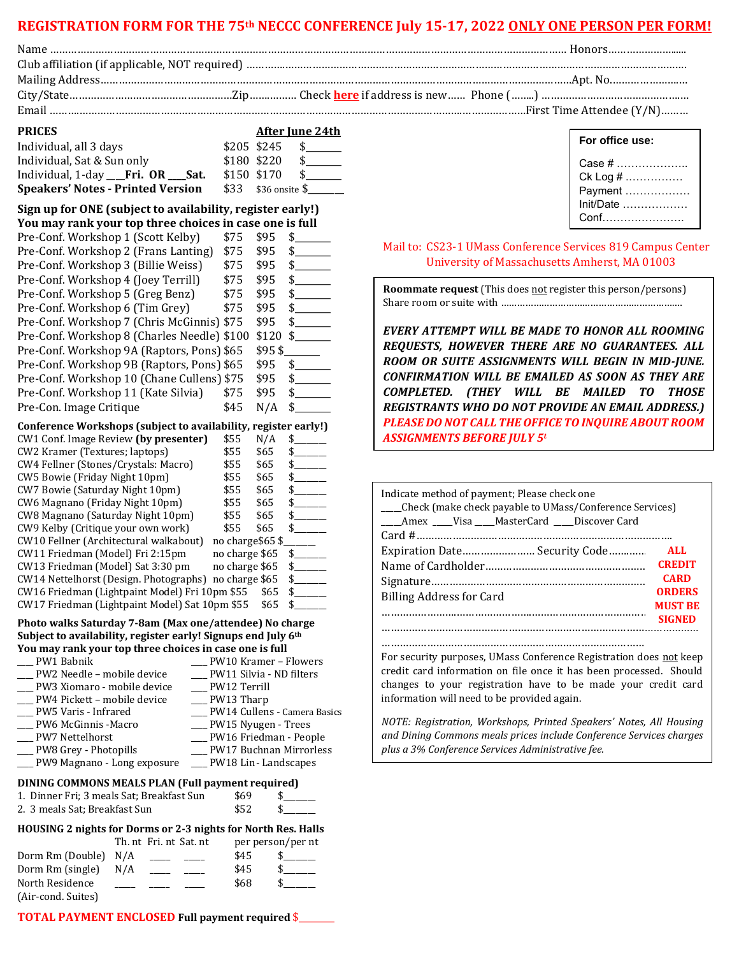### **REGISTRATION FORM FOR THE 75th NECCC CONFERENCE July 15-17, 2022 ONLY ONE PERSON PER FORM!**

Email ……….……………………………………………………………………………………………………………….…………………First Time Attendee (Y/N)………

| <b>PRICES</b>                            | <b>After June 24th</b> |
|------------------------------------------|------------------------|
| Individual, all 3 days                   | \$205 \$245            |
| Individual, Sat & Sun only               | \$180 \$220<br>-S      |
| Individual, 1-day ___Fri. OR ___Sat.     | \$150 \$170<br>- \$    |
| <b>Speakers' Notes - Printed Version</b> | $$33$ $$36$ onsite $$$ |

#### **Sign up for ONE (subject to availability, register early!) You may rank your top three choices in case one is full**

| Pre-Conf. Workshop 1 (Scott Kelby)          | \$75 | \$95   | \$  |
|---------------------------------------------|------|--------|-----|
| Pre-Conf. Workshop 2 (Frans Lanting)        | \$75 | \$95   | \$. |
| Pre-Conf. Workshop 3 (Billie Weiss)         | \$75 | \$95   | \$  |
| Pre-Conf. Workshop 4 (Joey Terrill)         | \$75 | \$95   | \$  |
| Pre-Conf. Workshop 5 (Greg Benz)            | \$75 | \$95   | \$  |
| Pre-Conf. Workshop 6 (Tim Grey)             | \$75 | \$95   | \$. |
| Pre-Conf. Workshop 7 (Chris McGinnis) \$75  |      | \$95   | \$  |
| Pre-Conf. Workshop 8 (Charles Needle) \$100 |      | \$120  | \$. |
| Pre-Conf. Workshop 9A (Raptors, Pons) \$65  |      | \$95\$ |     |
| Pre-Conf. Workshop 9B (Raptors, Pons) \$65  |      | \$95   | \$. |
| Pre-Conf. Workshop 10 (Chane Cullens) \$75  |      | \$95   | \$  |
| Pre-Conf. Workshop 11 (Kate Silvia)         | \$75 | \$95   | \$  |
| Pre-Con. Image Critique                     | \$45 | N/A    | \$  |
|                                             |      |        |     |

#### **Conference Workshops (subject to availability, register early!)**

| CW1 Conf. Image Review (by presenter)          | \$55            | N/A  |     |
|------------------------------------------------|-----------------|------|-----|
| CW2 Kramer (Textures; laptops)                 | \$55            | \$65 |     |
| CW4 Fellner (Stones/Crystals: Macro)           | \$55            | \$65 |     |
| CW5 Bowie (Friday Night 10pm)                  | \$55            | \$65 |     |
| <b>CW7 Bowie (Saturday Night 10pm)</b>         | \$55            | \$65 |     |
| CW6 Magnano (Friday Night 10pm)                | \$55            | \$65 | \$. |
| CW8 Magnano (Saturday Night 10pm)              | \$55            | \$65 |     |
| CW9 Kelby (Critique your own work)             | \$55            | \$65 | S.  |
| CW10 Fellner (Architectural walkabout)         | no charge\$65\$ |      |     |
| CW11 Friedman (Model) Fri 2:15pm               | no charge \$65  |      | \$  |
| CW13 Friedman (Model) Sat 3:30 pm              | no charge \$65  |      | S.  |
| CW14 Nettelhorst (Design. Photographs)         | no charge \$65  |      | S.  |
| CW16 Friedman (Lightpaint Model) Fri 10pm \$55 |                 | \$65 |     |
| CW17 Friedman (Lightpaint Model) Sat 10pm \$55 |                 | \$65 |     |

#### **Photo walks Saturday 7-8am (Max one/attendee) No charge Subject to availability, register early! Signups end July 6th You may rank your top three choices in case one is full**

| PW1 Babnik                     | _ PW10 Kramer – Flowers         |
|--------------------------------|---------------------------------|
| PW2 Needle – mobile device     | __ PW11 Silvia - ND filters     |
| __ PW3 Xiomaro - mobile device | PW12 Terrill                    |
| __ PW4 Pickett - mobile device | $\rule{1em}{0.15mm}$ PW13 Tharp |
| ___ PW5 Varis - Infrared       | _ PW14 Cullens - Camera Basics  |
| __ PW6 McGinnis -Macro         | __ PW15 Nyugen - Trees          |
| ___ PW7 Nettelhorst            | __ PW16 Friedman - People       |
| __ PW8 Grey - Photopills       | PW17 Buchnan Mirrorless         |
| __ PW9 Magnano - Long exposure | $\equiv$ PW18 Lin - Landscapes  |

#### **DINING COMMONS MEALS PLAN (Full payment required)**

| 1. Dinner Fri; 3 meals Sat; Breakfast Sun | \$69 |  |
|-------------------------------------------|------|--|
| 2. 3 meals Sat; Breakfast Sun             | \$52 |  |

## **HOUSING 2 nights for Dorms or 2-3 nights for North Res. Halls**

|                      |     | Th. nt Fri. nt Sat. nt |      | per person/per nt |
|----------------------|-----|------------------------|------|-------------------|
| Dorm Rm (Double) N/A |     |                        | \$45 |                   |
| Dorm Rm (single)     | N/A |                        | \$45 |                   |
| North Residence      |     |                        | \$68 |                   |
| (Air-cond. Suites)   |     |                        |      |                   |

#### **For office use:** Case # ………………..  $Ck \cdot \ln \frac{m}{k}$

| $UN LUY H$  |
|-------------|
| Payment     |
| $Init/Date$ |
| Conf        |
|             |

#### Mail to: CS23-1 UMass Conference Services 819 Campus Center University of Massachusetts Amherst, MA 01003

**Roommate request** (This does not register this person/persons) Share room or suite with ……………………………………………………….…

*EVERY ATTEMPT WILL BE MADE TO HONOR ALL ROOMING REQUESTS, HOWEVER THERE ARE NO GUARANTEES. ALL ROOM OR SUITE ASSIGNMENTS WILL BEGIN IN MID-JUNE. CONFIRMATION WILL BE EMAILED AS SOON AS THEY ARE COMPLETED. (THEY WILL BE MAILED TO THOSE REGISTRANTS WHO DO NOT PROVIDE AN EMAIL ADDRESS.) PLEASE DO NOT CALL THE OFFICE TO INQUIRE ABOUT ROOM ASSIGNMENTS BEFORE JULY 5<sup>t</sup>*

| Indicate method of payment; Please check one<br>______Check (make check payable to UMass/Conference Services) |                |  |  |
|---------------------------------------------------------------------------------------------------------------|----------------|--|--|
| Amex Visa MasterCard Discover Card                                                                            |                |  |  |
|                                                                                                               |                |  |  |
| Expiration Date Security Code                                                                                 | ALL.           |  |  |
|                                                                                                               | <b>CREDIT</b>  |  |  |
|                                                                                                               | <b>CARD</b>    |  |  |
| <b>ORDERS</b><br><b>Billing Address for Card</b>                                                              |                |  |  |
|                                                                                                               | <b>MUST BE</b> |  |  |
|                                                                                                               | <b>SIGNED</b>  |  |  |
|                                                                                                               |                |  |  |

For security purposes, UMass Conference Registration does not keep credit card information on file once it has been processed. Should changes to your registration have to be made your credit card information will need to be provided again.

……………………………………………………………………………

*NOTE: Registration, Workshops, Printed Speakers' Notes, All Housing and Dining Commons meals prices include Conference Services charges plus a 3% Conference Services Administrative fee.*

#### **TOTAL PAYMENT ENCLOSED Full payment required** \$\_\_\_\_\_\_\_\_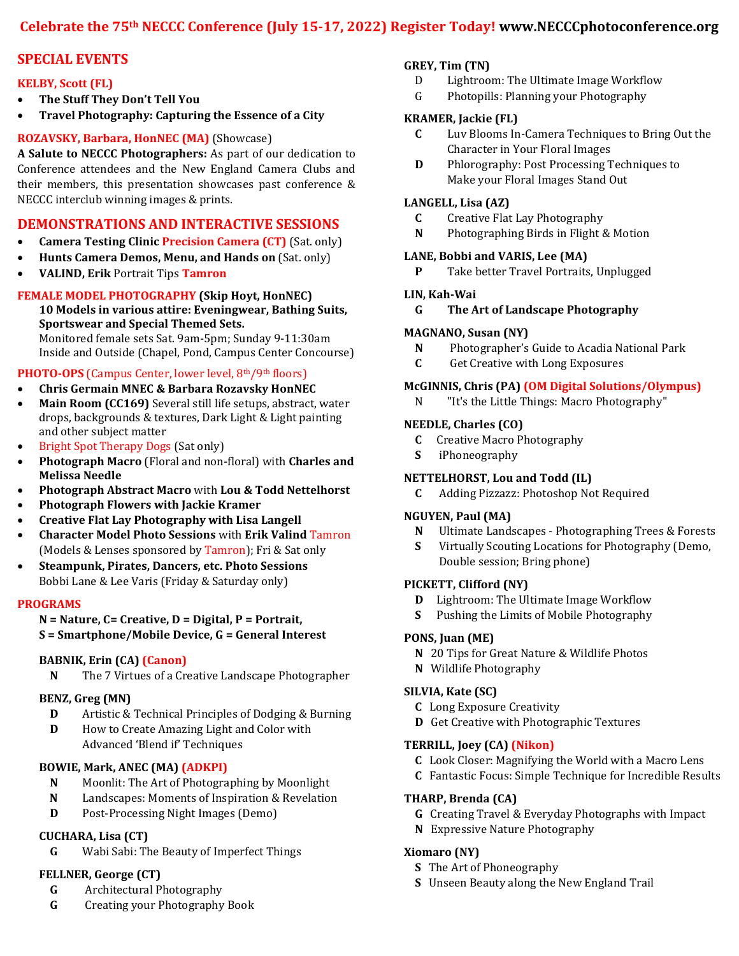# **Celebrate the 75th NECCC Conference (July 15-17, 2022) Register Today! www.NECCCphotoconference.org**

# **SPECIAL EVENTS**

### **KELBY, Scott (FL)**

- **The Stuff They Don't Tell You**
- **Travel Photography: Capturing the Essence of a City**

### **ROZAVSKY, Barbara, HonNEC (MA)** (Showcase)

**A Salute to NECCC Photographers:** As part of our dedication to Conference attendees and the New England Camera Clubs and their members, this presentation showcases past conference & NECCC interclub winning images & prints.

# **DEMONSTRATIONS AND INTERACTIVE SESSIONS**

- **Camera Testing Clinic Precision Camera (CT)** (Sat. only)
- **Hunts Camera Demos, Menu, and Hands on** (Sat. only)
- **VALIND, Erik** Portrait Tips **Tamron**

#### **FEMALE MODEL PHOTOGRAPHY (Skip Hoyt, HonNEC) 10 Models in various attire: Eveningwear, Bathing Suits, Sportswear and Special Themed Sets.**

Monitored female sets Sat. 9am-5pm; Sunday 9-11:30am Inside and Outside (Chapel, Pond, Campus Center Concourse)

## **PHOTO-OPS** (Campus Center, lower level, 8<sup>th</sup>/9<sup>th</sup> floors)

- **Chris Germain MNEC & Barbara Rozavsky HonNEC**
- **Main Room (CC169)** Several still life setups, abstract, water drops, backgrounds & textures, Dark Light & Light painting and other subject matter
- Bright Spot Therapy Dogs (Sat only)
- **Photograph Macro** (Floral and non-floral) with **Charles and Melissa Needle**
- **Photograph Abstract Macro** with **Lou & Todd Nettelhorst**
- **Photograph Flowers with Jackie Kramer**
- **Creative Flat Lay Photography with Lisa Langell**
- **Character Model Photo Sessions** with **Erik Valind** Tamron (Models & Lenses sponsored by Tamron); Fri & Sat only
- **Steampunk, Pirates, Dancers, etc. Photo Sessions** Bobbi Lane & Lee Varis (Friday & Saturday only)

#### **PROGRAMS**

#### **N = Nature, C= Creative, D = Digital, P = Portrait, S = Smartphone/Mobile Device, G = General Interest**

#### **BABNIK, Erin (CA) (Canon)**

**N** The 7 Virtues of a Creative Landscape Photographer

#### **BENZ, Greg (MN)**

- **D** Artistic & Technical Principles of Dodging & Burning
- **D** How to Create Amazing Light and Color with Advanced 'Blend if' Techniques

#### **BOWIE, Mark, ANEC (MA) (ADKPI)**

- **N** Moonlit: The Art of Photographing by Moonlight
- **N** Landscapes: Moments of Inspiration & Revelation
- **D** Post-Processing Night Images (Demo)

## **CUCHARA, Lisa (CT)**

**G** Wabi Sabi: The Beauty of Imperfect Things

## **FELLNER, George (CT)**

- **G** Architectural Photography
- **G** Creating your Photography Book

#### **GREY, Tim (TN)**

- D Lightroom: The Ultimate Image Workflow
- G Photopills: Planning your Photography

#### **KRAMER, Jackie (FL)**

- **C** Luv Blooms In-Camera Techniques to Bring Out the Character in Your Floral Images
- **D** Phlorography: Post Processing Techniques to Make your Floral Images Stand Out

#### **LANGELL, Lisa (AZ)**

- **C** Creative Flat Lay Photography
- **N** Photographing Birds in Flight & Motion

### **LANE, Bobbi and VARIS, Lee (MA)**

**P** Take better Travel Portraits, Unplugged

### **LIN, Kah-Wai**

### **G The Art of Landscape Photography**

#### **MAGNANO, Susan (NY)**

- **N** Photographer's Guide to Acadia National Park
- **C** Get Creative with Long Exposures

#### **McGINNIS, Chris (PA) (OM Digital Solutions/Olympus)**

N "It's the Little Things: Macro Photography"

#### **NEEDLE, Charles (CO)**

- **C** Creative Macro Photography
- **S** iPhoneography

### **NETTELHORST, Lou and Todd (IL)**

**C** Adding Pizzazz: Photoshop Not Required

#### **NGUYEN, Paul (MA)**

- **N** Ultimate Landscapes Photographing Trees & Forests
- **S** Virtually Scouting Locations for Photography (Demo, Double session; Bring phone)

#### **PICKETT, Clifford (NY)**

- **D** Lightroom: The Ultimate Image Workflow
- **S** Pushing the Limits of Mobile Photography

#### **PONS, Juan (ME)**

- **N** 20 Tips for Great Nature & Wildlife Photos
- **N** Wildlife Photography

#### **SILVIA, Kate (SC)**

- **C** Long Exposure Creativity
- **D** Get Creative with Photographic Textures

#### **TERRILL, Joey (CA) (Nikon)**

- **C** Look Closer: Magnifying the World with a Macro Lens
- **C** Fantastic Focus: Simple Technique for Incredible Results

### **THARP, Brenda (CA)**

- **G** Creating Travel & Everyday Photographs with Impact
- **N** Expressive Nature Photography

#### **Xiomaro (NY)**

- **S** The Art of Phoneography
- **S** Unseen Beauty along the New England Trail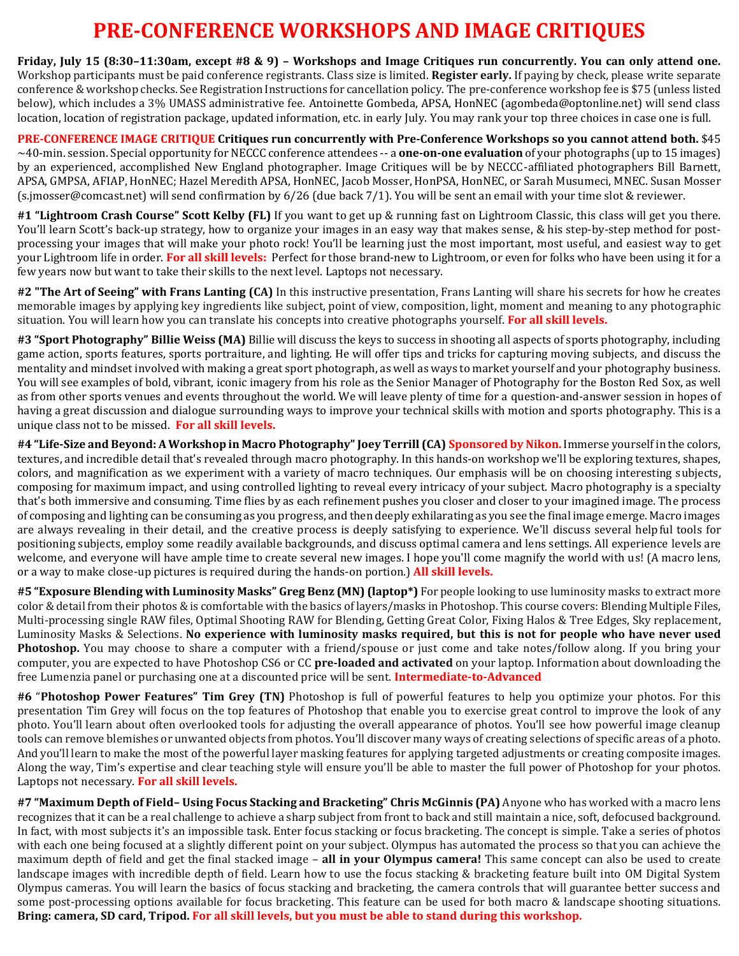# **PRE-CONFERENCE WORKSHOPS AND IMAGE CRITIQUES**

**Friday, July 15 (8:30–11:30am, except #8 & 9) – Workshops and Image Critiques run concurrently. You can only attend one.** Workshop participants must be paid conference registrants. Class size is limited. **Register early.** If paying by check, please write separate conference & workshop checks. See Registration Instructions for cancellation policy. The pre-conference workshop fee is \$75 (unless listed below), which includes a 3% UMASS administrative fee. Antoinette Gombeda, APSA, HonNEC (agombeda@optonline.net) will send class location, location of registration package, updated information, etc. in early July. You may rank your top three choices in case one is full.

**PRE-CONFERENCE IMAGE CRITIQUE Critiques run concurrently with Pre-Conference Workshops so you cannot attend both.** \$45 ~40-min. session. Special opportunity for NECCC conference attendees -- a **one-on-one evaluation** of your photographs (up to 15 images) by an experienced, accomplished New England photographer. Image Critiques will be by NECCC-affiliated photographers Bill Barnett, APSA, GMPSA, AFIAP, HonNEC; Hazel Meredith APSA, HonNEC, Jacob Mosser, HonPSA, HonNEC, or Sarah Musumeci, MNEC. Susan Mosser (s.jmosser@comcast.net) will send confirmation by 6/26 (due back 7/1). You will be sent an email with your time slot & reviewer.

**#1 "Lightroom Crash Course" Scott Kelby (FL)** If you want to get up & running fast on Lightroom Classic, this class will get you there. You'll learn Scott's back-up strategy, how to organize your images in an easy way that makes sense, & his step-by-step method for postprocessing your images that will make your photo rock! You'll be learning just the most important, most useful, and easiest way to get your Lightroom life in order. **For all skill levels:** Perfect for those brand-new to Lightroom, or even for folks who have been using it for a few years now but want to take their skills to the next level. Laptops not necessary.

**#2 "The Art of Seeing" with Frans Lanting (CA)** In this instructive presentation, Frans Lanting will share his secrets for how he creates memorable images by applying key ingredients like subject, point of view, composition, light, moment and meaning to any photographic situation. You will learn how you can translate his concepts into creative photographs yourself. **For all skill levels.**

**#3 "Sport Photography" Billie Weiss (MA)** Billie will discuss the keys to success in shooting all aspects of sports photography, including game action, sports features, sports portraiture, and lighting. He will offer tips and tricks for capturing moving subjects, and discuss the mentality and mindset involved with making a great sport photograph, as well as ways to market yourself and your photography business. You will see examples of bold, vibrant, iconic imagery from his role as the Senior Manager of Photography for the Boston Red Sox, as well as from other sports venues and events throughout the world. We will leave plenty of time for a question-and-answer session in hopes of having a great discussion and dialogue surrounding ways to improve your technical skills with motion and sports photography. This is a unique class not to be missed. **For all skill levels.**

**#4 "Life-Size and Beyond: A Workshop in Macro Photography" Joey Terrill (CA) Sponsored by Nikon.** Immerse yourself in the colors, textures, and incredible detail that's revealed through macro photography. In this hands-on workshop we'll be exploring textures, shapes, colors, and magnification as we experiment with a variety of macro techniques. Our emphasis will be on choosing interesting subjects, composing for maximum impact, and using controlled lighting to reveal every intricacy of your subject. Macro photography is a specialty that's both immersive and consuming. Time flies by as each refinement pushes you closer and closer to your imagined image. The process of composing and lighting can be consuming as you progress, and then deeply exhilarating as you see the final image emerge. Macro images are always revealing in their detail, and the creative process is deeply satisfying to experience. We'll discuss several helpful tools for positioning subjects, employ some readily available backgrounds, and discuss optimal camera and lens settings. All experience levels are welcome, and everyone will have ample time to create several new images. I hope you'll come magnify the world with us! (A macro lens, or a way to make close-up pictures is required during the hands-on portion.) **All skill levels.** 

**#5 "Exposure Blending with Luminosity Masks" Greg Benz (MN) (laptop\*)** For people looking to use luminosity masks to extract more color & detail from their photos & is comfortable with the basics of layers/masks in Photoshop. This course covers: Blending Multiple Files, Multi-processing single RAW files, Optimal Shooting RAW for Blending, Getting Great Color, Fixing Halos & Tree Edges, Sky replacement, Luminosity Masks & Selections. **No experience with luminosity masks required, but this is not for people who have never used Photoshop.** You may choose to share a computer with a friend/spouse or just come and take notes/follow along. If you bring your computer, you are expected to have Photoshop CS6 or CC **pre-loaded and activated** on your laptop. Information about downloading the free Lumenzia panel or purchasing one at a discounted price will be sent. **Intermediate-to-Advanced**

**#6** "**Photoshop Power Features" Tim Grey (TN)** Photoshop is full of powerful features to help you optimize your photos. For this presentation Tim Grey will focus on the top features of Photoshop that enable you to exercise great control to improve the look of any photo. You'll learn about often overlooked tools for adjusting the overall appearance of photos. You'll see how powerful image cleanup tools can remove blemishes or unwanted objects from photos. You'll discover many ways of creating selections of specific areas of a photo. And you'll learn to make the most of the powerful layer masking features for applying targeted adjustments or creating composite images. Along the way, Tim's expertise and clear teaching style will ensure you'll be able to master the full power of Photoshop for your photos. Laptops not necessary. **For all skill levels.**

**#7 "Maximum Depth of Field– Using Focus Stacking and Bracketing" Chris McGinnis (PA)** Anyone who has worked with a macro lens recognizes that it can be a real challenge to achieve a sharp subject from front to back and still maintain a nice, soft, defocused background. In fact, with most subjects it's an impossible task. Enter focus stacking or focus bracketing. The concept is simple. Take a series of photos with each one being focused at a slightly different point on your subject. Olympus has automated the process so that you can achieve the maximum depth of field and get the final stacked image – **all in your Olympus camera!** This same concept can also be used to create landscape images with incredible depth of field. Learn how to use the focus stacking & bracketing feature built into OM Digital System Olympus cameras. You will learn the basics of focus stacking and bracketing, the camera controls that will guarantee better success and some post-processing options available for focus bracketing. This feature can be used for both macro & landscape shooting situations. **Bring: camera, SD card, Tripod. For all skill levels, but you must be able to stand during this workshop.**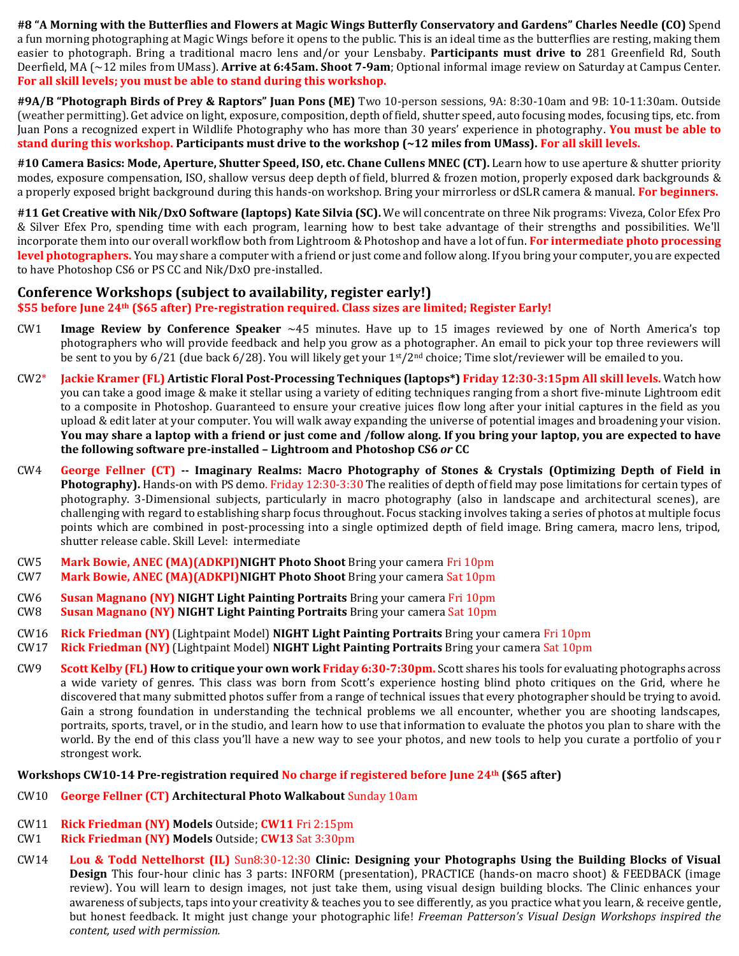**#8 "A Morning with the Butterflies and Flowers at Magic Wings Butterfly Conservatory and Gardens" Charles Needle (CO)** Spend a fun morning photographing at Magic Wings before it opens to the public. This is an ideal time as the butterflies are resting, making them easier to photograph. Bring a traditional macro lens and/or your Lensbaby. **Participants must drive to** 281 Greenfield Rd, South Deerfield, MA (~12 miles from UMass). **Arrive at 6:45am. Shoot 7-9am**; Optional informal image review on Saturday at Campus Center. **For all skill levels; you must be able to stand during this workshop.**

**#9A/B "Photograph Birds of Prey & Raptors" Juan Pons (ME)** Two 10-person sessions, 9A: 8:30-10am and 9B: 10-11:30am. Outside (weather permitting). Get advice on light, exposure, composition, depth of field, shutter speed, auto focusing modes, focusing tips, etc. from Juan Pons a recognized expert in Wildlife Photography who has more than 30 years' experience in photography. **You must be able to stand during this workshop. Participants must drive to the workshop (~12 miles from UMass). For all skill levels.**

**#10 Camera Basics: Mode, Aperture, Shutter Speed, ISO, etc. Chane Cullens MNEC (CT).** Learn how to use aperture & shutter priority modes, exposure compensation, ISO, shallow versus deep depth of field, blurred & frozen motion, properly exposed dark backgrounds & a properly exposed bright background during this hands-on workshop. Bring your mirrorless or dSLR camera & manual. **For beginners.**

**#11 Get Creative with Nik/DxO Software (laptops) Kate Silvia (SC).** We will concentrate on three Nik programs: Viveza, Color Efex Pro & Silver Efex Pro, spending time with each program, learning how to best take advantage of their strengths and possibilities. We'll incorporate them into our overall workflow both from Lightroom & Photoshop and have a lot of fun. **For intermediate photo processing**  level photographers. You may share a computer with a friend or just come and follow along. If you bring your computer, you are expected to have Photoshop CS6 or PS CC and Nik/DxO pre-installed.

## **Conference Workshops (subject to availability, register early!)**

**\$55 before June 24th (\$65 after) Pre-registration required. Class sizes are limited; Register Early!**

- CW1 **Image Review by Conference Speaker** ~45 minutes. Have up to 15 images reviewed by one of North America's top photographers who will provide feedback and help you grow as a photographer. An email to pick your top three reviewers will be sent to you by 6/21 (due back 6/28). You will likely get your  $1^{st}/2^{nd}$  choice; Time slot/reviewer will be emailed to you.
- CW2\* **Jackie Kramer (FL) Artistic Floral Post-Processing Techniques (laptops\*) Friday 12:30-3:15pm All skill levels.** Watch how you can take a good image & make it stellar using a variety of editing techniques ranging from a short five-minute Lightroom edit to a composite in Photoshop. Guaranteed to ensure your creative juices flow long after your initial captures in the field as you upload & edit later at your computer. You will walk away expanding the universe of potential images and broadening your vision. **You may share a laptop with a friend or just come and /follow along. If you bring your laptop, you are expected to have the following software pre-installed – Lightroom and Photoshop CS6** *or* **CC**
- CW4 **George Fellner (CT) -- Imaginary Realms: Macro Photography of Stones & Crystals (Optimizing Depth of Field in Photography).** Hands-on with PS demo. Friday 12:30-3:30 The realities of depth of field may pose limitations for certain types of photography. 3-Dimensional subjects, particularly in macro photography (also in landscape and architectural scenes), are challenging with regard to establishing sharp focus throughout. Focus stacking involves taking a series of photos at multiple focus points which are combined in post-processing into a single optimized depth of field image. Bring camera, macro lens, tripod, shutter release cable. Skill Level: intermediate
- CW5 **Mark Bowie, ANEC (MA)(ADKPI)NIGHT Photo Shoot** Bring your camera Fri 10pm CW7 **Mark Bowie, ANEC (MA)(ADKPI)NIGHT Photo Shoot** Bring your camera Sat 10pm
- CW6 **Susan Magnano (NY) NIGHT Light Painting Portraits** Bring your camera Fri 10pm
- CW8 **Susan Magnano (NY) NIGHT Light Painting Portraits** Bring your camera Sat 10pm
- CW16 **Rick Friedman (NY)** (Lightpaint Model) **NIGHT Light Painting Portraits** Bring your camera Fri 10pm
- CW17 **Rick Friedman (NY)** (Lightpaint Model) **NIGHT Light Painting Portraits** Bring your camera Sat 10pm
- CW9 **Scott Kelby (FL) How to critique your own work Friday 6:30-7:30pm.** Scott shares his tools for evaluating photographs across a wide variety of genres. This class was born from Scott's experience hosting blind photo critiques on the Grid, where he discovered that many submitted photos suffer from a range of technical issues that every photographer should be trying to avoid. Gain a strong foundation in understanding the technical problems we all encounter, whether you are shooting landscapes, portraits, sports, travel, or in the studio, and learn how to use that information to evaluate the photos you plan to share with the world. By the end of this class you'll have a new way to see your photos, and new tools to help you curate a portfolio of your strongest work.

#### **Workshops CW10-14 Pre-registration required No charge if registered before June 24th (\$65 after)**

- CW10 **George Fellner (CT) Architectural Photo Walkabout** Sunday 10am
- CW11 **Rick Friedman (NY) Models** Outside; **CW11** Fri 2:15pm
- CW1 **Rick Friedman (NY) Models** Outside; **CW13** Sat 3:30pm
- CW14 **Lou & Todd Nettelhorst (IL)** Sun8:30-12:30 **Clinic: Designing your Photographs Using the Building Blocks of Visual Design** This four-hour clinic has 3 parts: INFORM (presentation), PRACTICE (hands-on macro shoot) & FEEDBACK (image review). You will learn to design images, not just take them, using visual design building blocks. The Clinic enhances your awareness of subjects, taps into your creativity & teaches you to see differently, as you practice what you learn, & receive gentle, but honest feedback. It might just change your photographic life! *Freeman Patterson's Visual Design Workshops inspired the content, used with permission.*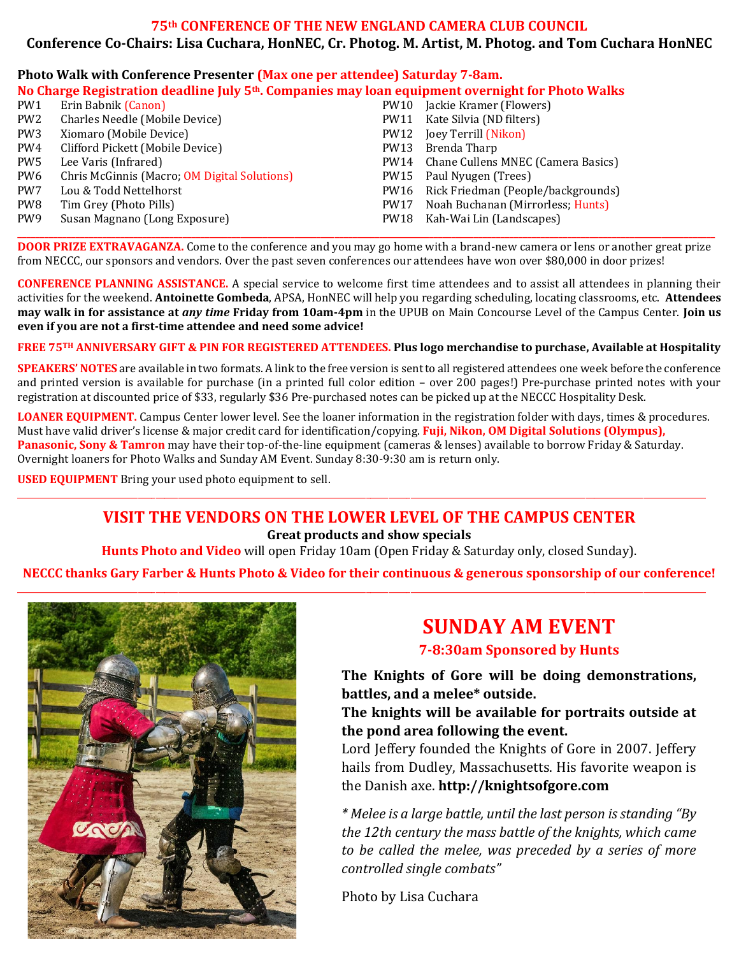# **75th CONFERENCE OF THE NEW ENGLAND CAMERA CLUB COUNCIL Conference Co-Chairs: Lisa Cuchara, HonNEC, Cr. Photog. M. Artist, M. Photog. and Tom Cuchara HonNEC**

#### **Photo Walk with Conference Presenter (Max one per attendee) Saturday 7-8am. No Charge Registration deadline July 5th. Companies may loan equipment overnight for Photo Walks** PW1 Erin Babnik (Canon) PW10 Jackie Kramer (Flowers)

| PW2 | Charles Needle (Mobile Device)               |      | PW11 Kate Silvia (ND filters)           |
|-----|----------------------------------------------|------|-----------------------------------------|
| PW3 | Xiomaro (Mobile Device)                      |      | PW12 Joey Terrill (Nikon)               |
| PW4 | Clifford Pickett (Mobile Device)             | PW13 | Brenda Tharp                            |
| PW5 | Lee Varis (Infrared)                         |      | PW14 Chane Cullens MNEC (Camera Basics) |
| PW6 | Chris McGinnis (Macro; OM Digital Solutions) |      | PW15 Paul Nyugen (Trees)                |
| PW7 | Lou & Todd Nettelhorst                       |      | PW16 Rick Friedman (People/backgrounds) |
| PW8 | Tim Grey (Photo Pills)                       | PW17 | Noah Buchanan (Mirrorless; Hunts)       |
| PW9 | Susan Magnano (Long Exposure)                |      | PW18 Kah-Wai Lin (Landscapes)           |
|     |                                              |      |                                         |

**\_\_\_\_\_\_\_\_\_\_\_\_\_\_\_\_\_\_\_\_\_\_\_\_\_\_\_\_\_\_\_\_\_\_\_\_\_\_\_\_\_\_\_\_\_\_\_\_\_\_\_\_\_\_\_\_\_\_\_\_\_\_\_\_\_\_\_\_\_\_\_\_\_\_\_\_\_\_\_\_\_\_\_\_\_\_\_\_\_\_\_\_\_\_\_\_\_\_\_\_\_\_\_\_\_\_\_\_\_\_\_\_\_\_\_\_\_\_\_\_\_\_\_\_\_\_\_\_\_\_\_\_\_\_\_\_\_\_\_\_\_\_\_\_\_\_\_\_\_\_\_\_\_\_\_\_ DOOR PRIZE EXTRAVAGANZA.** Come to the conference and you may go home with a brand-new camera or lens or another great prize from NECCC, our sponsors and vendors. Over the past seven conferences our attendees have won over \$80,000 in door prizes!

**CONFERENCE PLANNING ASSISTANCE.** A special service to welcome first time attendees and to assist all attendees in planning their activities for the weekend. **Antoinette Gombeda**, APSA, HonNEC will help you regarding scheduling, locating classrooms, etc. **Attendees may walk in for assistance at** *any time* **Friday from 10am-4pm** in the UPUB on Main Concourse Level of the Campus Center. **Join us even if you are not a first-time attendee and need some advice!**

### **FREE 75TH ANNIVERSARY GIFT & PIN FOR REGISTERED ATTENDEES. Plus logo merchandise to purchase, Available at Hospitality**

**SPEAKERS' NOTES** are available in two formats. A link to the free version is sent to all registered attendees one week before the conference and printed version is available for purchase (in a printed full color edition – over 200 pages!) Pre-purchase printed notes with your registration at discounted price of \$33, regularly \$36 Pre-purchased notes can be picked up at the NECCC Hospitality Desk.

**LOANER EQUIPMENT.** Campus Center lower level. See the loaner information in the registration folder with days, times & procedures. Must have valid driver's license & major credit card for identification/copying. **Fuji, Nikon, OM Digital Solutions (Olympus),**  Panasonic, Sony & Tamron may have their top-of-the-line equipment (cameras & lenses) available to borrow Friday & Saturday. Overnight loaners for Photo Walks and Sunday AM Event. Sunday 8:30-9:30 am is return only.

\_\_\_\_\_\_\_\_\_\_\_\_\_\_\_\_\_\_\_\_\_\_\_\_\_\_\_\_\_\_\_\_\_\_\_\_\_\_\_\_\_\_\_\_\_\_\_\_\_\_\_\_\_\_\_\_\_\_\_\_\_\_\_\_\_\_\_\_\_\_\_\_\_\_\_\_\_\_\_\_\_\_\_\_\_\_\_\_\_\_\_\_\_\_\_\_\_\_\_\_\_\_\_\_\_\_\_\_\_\_\_\_\_\_\_\_\_\_\_\_\_\_\_\_\_\_\_\_\_\_\_\_\_\_\_\_\_\_\_\_\_\_\_\_\_\_\_\_\_\_\_\_\_\_

**USED EQUIPMENT** Bring your used photo equipment to sell.

# **VISIT THE VENDORS ON THE LOWER LEVEL OF THE CAMPUS CENTER**

**Great products and show specials** 

**Hunts Photo and Video** will open Friday 10am (Open Friday & Saturday only, closed Sunday).

**NECCC thanks Gary Farber & Hunts Photo & Video for their continuous & generous sponsorship of our conference!**



# **SUNDAY AM EVENT**

**7-8:30am Sponsored by Hunts**

**The Knights of Gore will be doing demonstrations, battles, and a melee\* outside.** 

**The knights will be available for portraits outside at the pond area following the event.** 

Lord Jeffery founded the Knights of Gore in 2007. Jeffery hails from Dudley, Massachusetts. His favorite weapon is the Danish axe. **http://knightsofgore.com**

*\* Melee is a large battle, until the last person is standing "By the 12th century the mass battle of the knights, which came to be called the melee, was preceded by a series of more controlled single combats"* 

Photo by Lisa Cuchara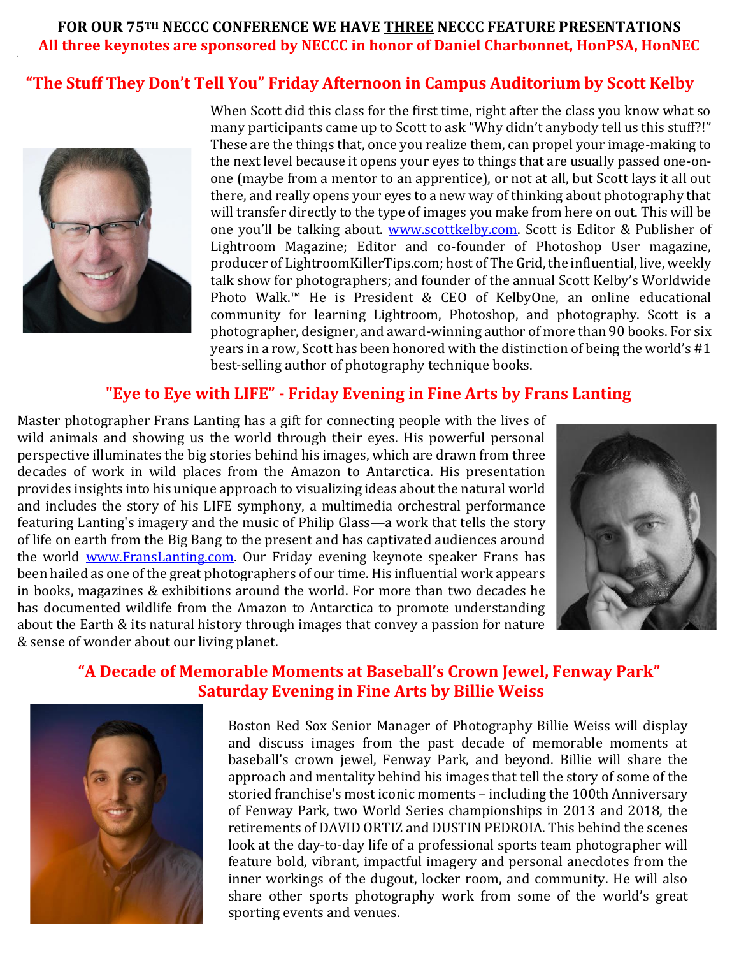# **FOR OUR 75TH NECCC CONFERENCE WE HAVE THREE NECCC FEATURE PRESENTATIONS All three keynotes are sponsored by NECCC in honor of Daniel Charbonnet, HonPSA, HonNEC**

# **"The Stuff They Don't Tell You" Friday Afternoon in Campus Auditorium by Scott Kelby**



'

When Scott did this class for the first time, right after the class you know what so many participants came up to Scott to ask "Why didn't anybody tell us this stuff?!" These are the things that, once you realize them, can propel your image-making to the next level because it opens your eyes to things that are usually passed one-onone (maybe from a mentor to an apprentice), or not at all, but Scott lays it all out there, and really opens your eyes to a new way of thinking about photography that will transfer directly to the type of images you make from here on out. This will be one you'll be talking about. [www.scottkelby.com.](http://www.scottkelby.com/) Scott is Editor & Publisher of Lightroom Magazine; Editor and co-founder of Photoshop User magazine, producer of LightroomKillerTips.com; host of The Grid, the influential, live, weekly talk show for photographers; and founder of the annual Scott Kelby's Worldwide Photo Walk.™ He is President & CEO of KelbyOne, an online educational community for learning Lightroom, Photoshop, and photography. Scott is a photographer, designer, and award-winning author of more than 90 books. For six years in a row, Scott has been honored with the distinction of being the world's #1 best-selling author of photography technique books.

# **"Eye to Eye with LIFE" - Friday Evening in Fine Arts by Frans Lanting**

Master photographer Frans Lanting has a gift for connecting people with the lives of wild animals and showing us the world through their eyes. His powerful personal perspective illuminates the big stories behind his images, which are drawn from three decades of work in wild places from the Amazon to Antarctica. His presentation provides insights into his unique approach to visualizing ideas about the natural world and includes the story of his LIFE symphony, a multimedia orchestral performance featuring Lanting's imagery and the music of Philip Glass—a work that tells the story of life on earth from the Big Bang to the present and has captivated audiences around the world [www.FransLanting.com.](http://www.franslanting.com/) Our Friday evening keynote speaker Frans has been hailed as one of the great photographers of our time. His influential work appears in books, magazines & exhibitions around the world. For more than two decades he has documented wildlife from the Amazon to Antarctica to promote understanding about the Earth & its natural history through images that convey a passion for nature & sense of wonder about our living planet.



# **"A Decade of Memorable Moments at Baseball's Crown Jewel, Fenway Park" Saturday Evening in Fine Arts by Billie Weiss**



Boston Red Sox Senior Manager of Photography Billie Weiss will display and discuss images from the past decade of memorable moments at baseball's crown jewel, Fenway Park, and beyond. Billie will share the approach and mentality behind his images that tell the story of some of the storied franchise's most iconic moments – including the 100th Anniversary of Fenway Park, two World Series championships in 2013 and 2018, the retirements of DAVID ORTIZ and DUSTIN PEDROIA. This behind the scenes look at the day-to-day life of a professional sports team photographer will feature bold, vibrant, impactful imagery and personal anecdotes from the inner workings of the dugout, locker room, and community. He will also share other sports photography work from some of the world's great sporting events and venues.